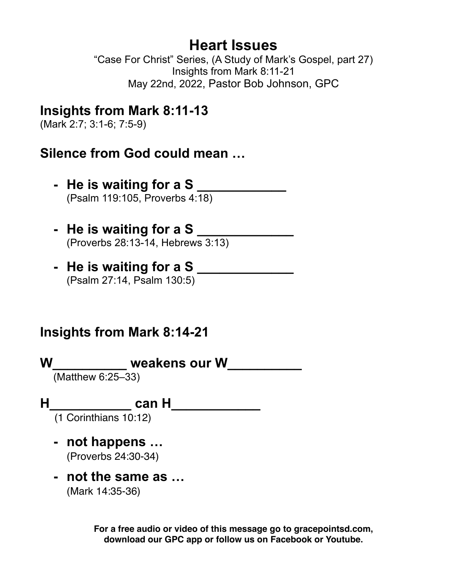# **Heart Issues**

"Case For Christ" Series, (A Study of Mark's Gospel, part 27) Insights from Mark 8:11-21 May 22nd, 2022, Pastor Bob Johnson, GPC

# **Insights from Mark 8:11-13**

(Mark 2:7; 3:1-6; 7:5-9)

## **Silence from God could mean …**

- **- He is waiting for a S \_\_\_\_\_\_\_\_\_\_\_\_** (Psalm 119:105, Proverbs 4:18)
- **- He is waiting for a S \_\_\_\_\_\_\_\_\_\_\_\_\_** (Proverbs 28:13-14, Hebrews 3:13)
- **- He is waiting for a S \_\_\_\_\_\_\_\_\_\_\_\_\_** (Psalm 27:14, Psalm 130:5)

# **Insights from Mark 8:14-21**

**W\_\_\_\_\_\_\_\_\_\_ weakens our W\_\_\_\_\_\_\_\_\_\_** (Matthew 6:25–33)

## **H\_\_\_\_\_\_\_\_\_\_\_ can H\_\_\_\_\_\_\_\_\_\_\_\_**

(1 Corinthians 10:12)

- **- not happens …** (Proverbs 24:30-34)
- **- not the same as …** (Mark 14:35-36)

**For a free audio or video of this message go to gracepointsd.com, download our GPC app or follow us on Facebook or Youtube.**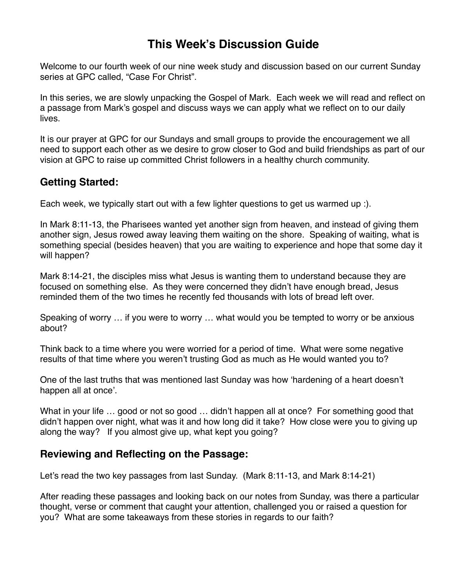### **This Week's Discussion Guide**

Welcome to our fourth week of our nine week study and discussion based on our current Sunday series at GPC called, "Case For Christ".

In this series, we are slowly unpacking the Gospel of Mark. Each week we will read and reflect on a passage from Mark's gospel and discuss ways we can apply what we reflect on to our daily lives.

It is our prayer at GPC for our Sundays and small groups to provide the encouragement we all need to support each other as we desire to grow closer to God and build friendships as part of our vision at GPC to raise up committed Christ followers in a healthy church community.

### **Getting Started:**

Each week, we typically start out with a few lighter questions to get us warmed up :).

In Mark 8:11-13, the Pharisees wanted yet another sign from heaven, and instead of giving them another sign, Jesus rowed away leaving them waiting on the shore. Speaking of waiting, what is something special (besides heaven) that you are waiting to experience and hope that some day it will happen?

Mark 8:14-21, the disciples miss what Jesus is wanting them to understand because they are focused on something else. As they were concerned they didn't have enough bread, Jesus reminded them of the two times he recently fed thousands with lots of bread left over.

Speaking of worry … if you were to worry … what would you be tempted to worry or be anxious about?

Think back to a time where you were worried for a period of time. What were some negative results of that time where you weren't trusting God as much as He would wanted you to?

One of the last truths that was mentioned last Sunday was how 'hardening of a heart doesn't happen all at once'.

What in your life ... good or not so good ... didn't happen all at once? For something good that didn't happen over night, what was it and how long did it take? How close were you to giving up along the way? If you almost give up, what kept you going?

#### **Reviewing and Reflecting on the Passage:**

Let's read the two key passages from last Sunday. (Mark 8:11-13, and Mark 8:14-21)

After reading these passages and looking back on our notes from Sunday, was there a particular thought, verse or comment that caught your attention, challenged you or raised a question for you? What are some takeaways from these stories in regards to our faith?